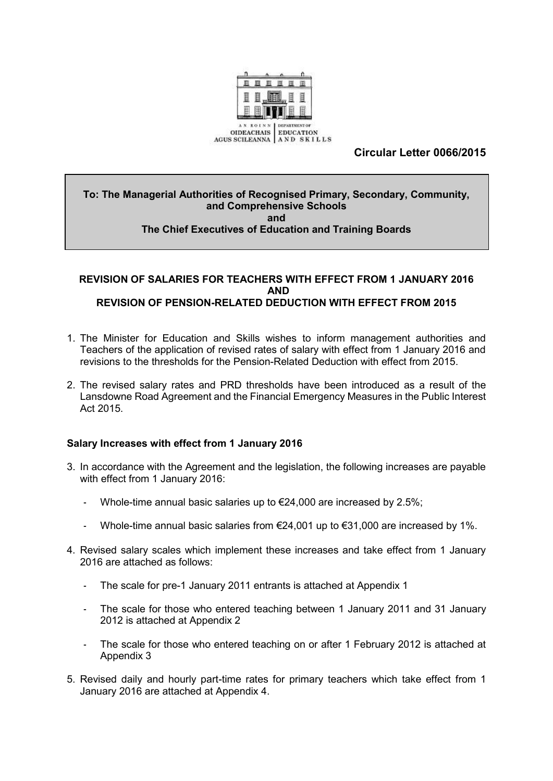

# **Circular Letter 0066/2015**

#### **To: The Managerial Authorities of Recognised Primary, Secondary, Community, and Comprehensive Schools and The Chief Executives of Education and Training Boards**

## **REVISION OF SALARIES FOR TEACHERS WITH EFFECT FROM 1 JANUARY 2016 AND REVISION OF PENSION-RELATED DEDUCTION WITH EFFECT FROM 2015**

- 1. The Minister for Education and Skills wishes to inform management authorities and Teachers of the application of revised rates of salary with effect from 1 January 2016 and revisions to the thresholds for the Pension-Related Deduction with effect from 2015.
- 2. The revised salary rates and PRD thresholds have been introduced as a result of the Lansdowne Road Agreement and the Financial Emergency Measures in the Public Interest Act 2015.

### **Salary Increases with effect from 1 January 2016**

- 3. In accordance with the Agreement and the legislation, the following increases are payable with effect from 1 January 2016:
	- Whole-time annual basic salaries up to  $\epsilon$ 24,000 are increased by 2.5%;
	- Whole-time annual basic salaries from  $E24,001$  up to  $E31,000$  are increased by 1%.
- 4. Revised salary scales which implement these increases and take effect from 1 January 2016 are attached as follows:
	- The scale for pre-1 January 2011 entrants is attached at Appendix 1
	- The scale for those who entered teaching between 1 January 2011 and 31 January 2012 is attached at Appendix 2
	- The scale for those who entered teaching on or after 1 February 2012 is attached at Appendix 3
- 5. Revised daily and hourly part-time rates for primary teachers which take effect from 1 January 2016 are attached at Appendix 4.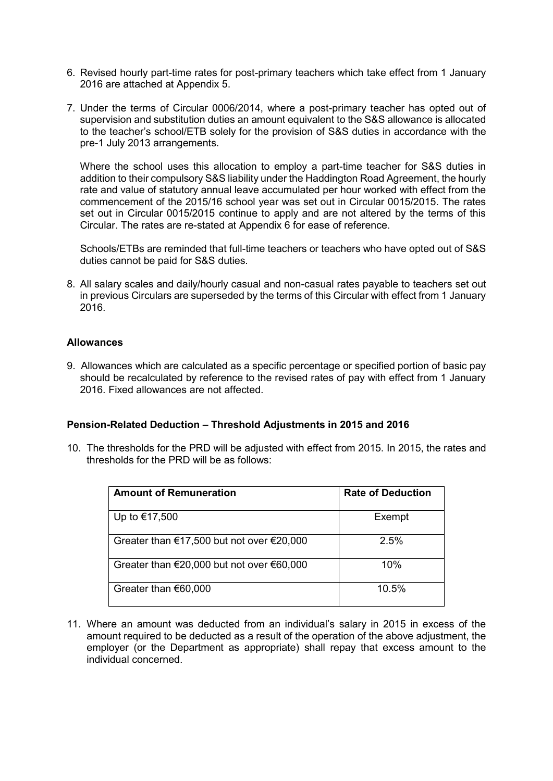- 6. Revised hourly part-time rates for post-primary teachers which take effect from 1 January 2016 are attached at Appendix 5.
- 7. Under the terms of Circular 0006/2014, where a post-primary teacher has opted out of supervision and substitution duties an amount equivalent to the S&S allowance is allocated to the teacher's school/ETB solely for the provision of S&S duties in accordance with the pre-1 July 2013 arrangements.

Where the school uses this allocation to employ a part-time teacher for S&S duties in addition to their compulsory S&S liability under the Haddington Road Agreement, the hourly rate and value of statutory annual leave accumulated per hour worked with effect from the commencement of the 2015/16 school year was set out in Circular 0015/2015. The rates set out in Circular 0015/2015 continue to apply and are not altered by the terms of this Circular. The rates are re-stated at Appendix 6 for ease of reference.

Schools/ETBs are reminded that full-time teachers or teachers who have opted out of S&S duties cannot be paid for S&S duties.

8. All salary scales and daily/hourly casual and non-casual rates payable to teachers set out in previous Circulars are superseded by the terms of this Circular with effect from 1 January 2016.

#### **Allowances**

9. Allowances which are calculated as a specific percentage or specified portion of basic pay should be recalculated by reference to the revised rates of pay with effect from 1 January 2016. Fixed allowances are not affected.

#### **Pension-Related Deduction – Threshold Adjustments in 2015 and 2016**

10. The thresholds for the PRD will be adjusted with effect from 2015. In 2015, the rates and thresholds for the PRD will be as follows:

| <b>Amount of Remuneration</b>                                 | <b>Rate of Deduction</b> |
|---------------------------------------------------------------|--------------------------|
| Up to €17,500                                                 | Exempt                   |
| Greater than $€17,500$ but not over $€20,000$                 | 2.5%                     |
| Greater than $\epsilon$ 20,000 but not over $\epsilon$ 60,000 | 10%                      |
| Greater than €60,000                                          | 10.5%                    |

11. Where an amount was deducted from an individual's salary in 2015 in excess of the amount required to be deducted as a result of the operation of the above adjustment, the employer (or the Department as appropriate) shall repay that excess amount to the individual concerned.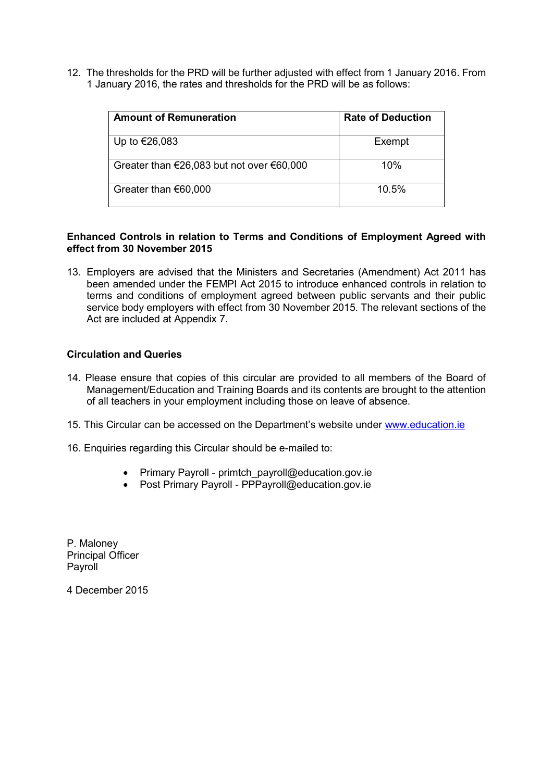12. The thresholds for the PRD will be further adjusted with effect from 1 January 2016. From 1 January 2016, the rates and thresholds for the PRD will be as follows:

| <b>Amount of Remuneration</b>                                 | <b>Rate of Deduction</b> |
|---------------------------------------------------------------|--------------------------|
| Up to €26,083                                                 | Exempt                   |
| Greater than $\epsilon$ 26,083 but not over $\epsilon$ 60,000 | 10%                      |
| Greater than $€60,000$                                        | 10.5%                    |

#### **Enhanced Controls in relation to Terms and Conditions of Employment Agreed with effect from 30 November 2015**

13. Employers are advised that the Ministers and Secretaries (Amendment) Act 2011 has been amended under the FEMPI Act 2015 to introduce enhanced controls in relation to terms and conditions of employment agreed between public servants and their public service body employers with effect from 30 November 2015. The relevant sections of the Act are included at Appendix 7.

#### **Circulation and Queries**

- 14. Please ensure that copies of this circular are provided to all members of the Board of Management/Education and Training Boards and its contents are brought to the attention of all teachers in your employment including those on leave of absence.
- 15. This Circular can be accessed on the Department's website under [www.education.ie](http://www.education.ie/)
- 16. Enquiries regarding this Circular should be e-mailed to:
	- Primary Payroll primtch\_payroll@education.gov.ie
	- Post Primary Payroll PPPayroll@education.gov.ie

P. Maloney Principal Officer Payroll

4 December 2015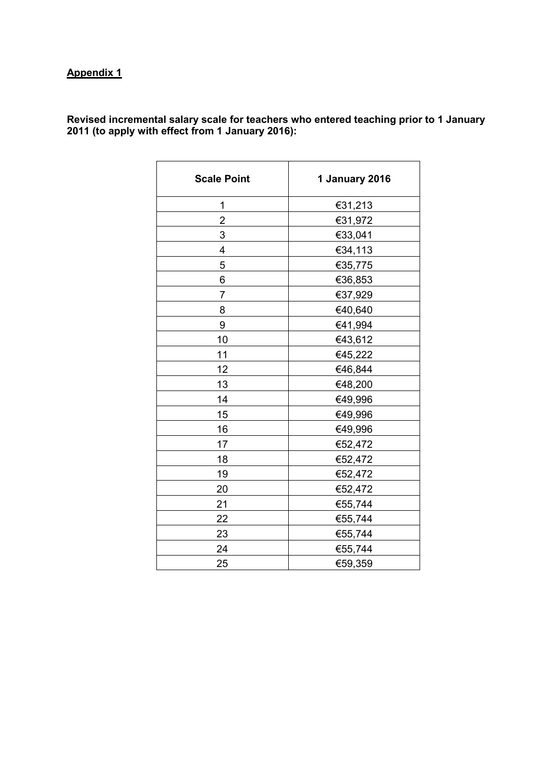**Revised incremental salary scale for teachers who entered teaching prior to 1 January 2011 (to apply with effect from 1 January 2016):**

| <b>Scale Point</b> | 1 January 2016 |
|--------------------|----------------|
| 1                  | €31,213        |
| $\overline{2}$     | €31,972        |
| 3                  | €33,041        |
| 4                  | €34,113        |
| 5                  | €35,775        |
| 6                  | €36,853        |
| $\overline{7}$     | €37,929        |
| 8                  | €40,640        |
| 9                  | €41,994        |
| 10                 | €43,612        |
| 11                 | €45,222        |
| 12                 | €46,844        |
| 13                 | €48,200        |
| 14                 | €49,996        |
| 15                 | €49,996        |
| 16                 | €49,996        |
| 17                 | €52,472        |
| 18                 | €52,472        |
| 19                 | €52,472        |
| 20                 | €52,472        |
| 21                 | €55,744        |
| 22                 | €55,744        |
| 23                 | €55,744        |
| 24                 | €55,744        |
| 25                 | €59,359        |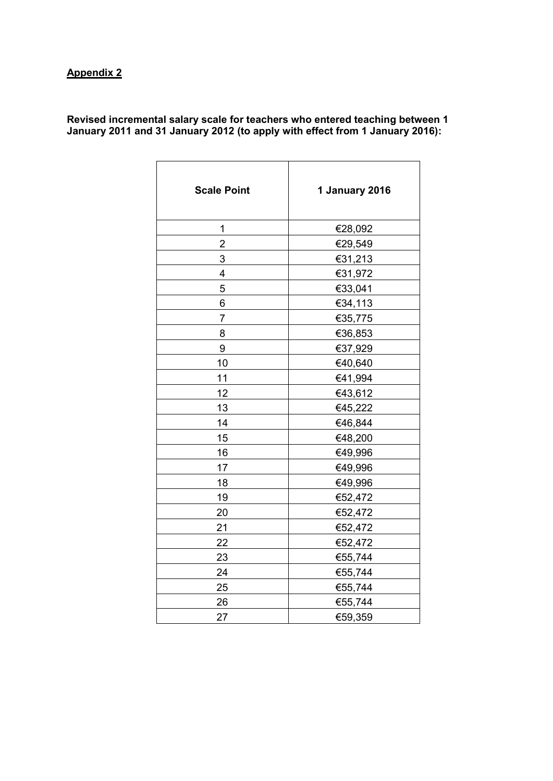| <b>Scale Point</b> | 1 January 2016 |  |
|--------------------|----------------|--|
| 1                  | €28,092        |  |
| $\overline{2}$     | €29,549        |  |
| 3                  | €31,213        |  |
| 4                  | €31,972        |  |
| 5                  | €33,041        |  |
| 6                  | €34,113        |  |
| $\overline{7}$     | €35,775        |  |
| 8                  | €36,853        |  |
| 9                  | €37,929        |  |
| 10                 | €40,640        |  |
| 11                 | €41,994        |  |
| 12                 | €43,612        |  |
| 13                 | €45,222        |  |
| 14                 | €46,844        |  |
| 15                 | €48,200        |  |
| 16                 | €49,996        |  |
| 17                 | €49,996        |  |
| 18                 | €49,996        |  |
| 19                 | €52,472        |  |
| 20                 | €52,472        |  |
| 21                 | €52,472        |  |
| 22                 | €52,472        |  |
| 23                 | €55,744        |  |
| 24                 | €55,744        |  |
| 25                 | €55,744        |  |
| 26                 | €55,744        |  |
| 27                 | €59,359        |  |

**Revised incremental salary scale for teachers who entered teaching between 1 January 2011 and 31 January 2012 (to apply with effect from 1 January 2016):**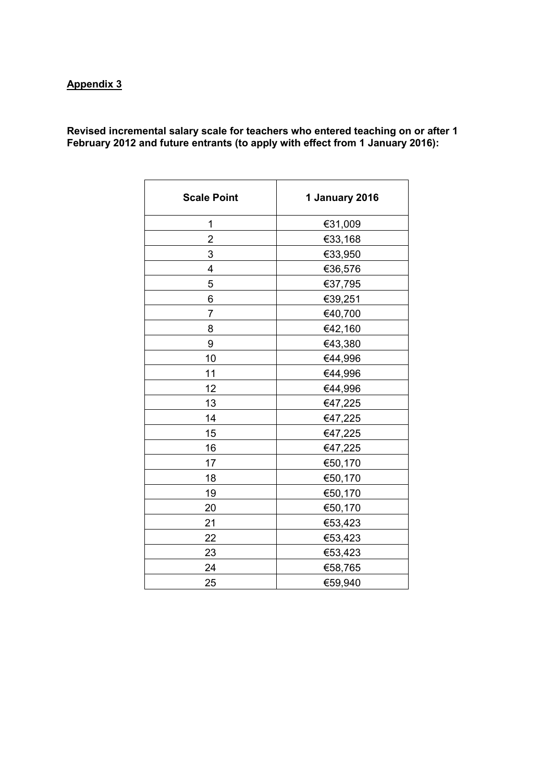**Revised incremental salary scale for teachers who entered teaching on or after 1 February 2012 and future entrants (to apply with effect from 1 January 2016):**

| <b>Scale Point</b> | 1 January 2016 |  |
|--------------------|----------------|--|
| 1                  | €31,009        |  |
| 2                  | €33,168        |  |
| 3                  | €33,950        |  |
| $\overline{4}$     | €36,576        |  |
| 5                  | €37,795        |  |
| 6                  | €39,251        |  |
| $\overline{7}$     | €40,700        |  |
| 8                  | €42,160        |  |
| 9                  | €43,380        |  |
| 10                 | €44,996        |  |
| 11                 | €44,996        |  |
| 12                 | €44,996        |  |
| 13                 | €47,225        |  |
| 14                 | €47,225        |  |
| 15                 | €47,225        |  |
| 16                 | €47,225        |  |
| 17                 | €50,170        |  |
| 18                 | €50,170        |  |
| 19                 | €50,170        |  |
| 20                 | €50,170        |  |
| 21                 | €53,423        |  |
| 22                 | €53,423        |  |
| 23                 | €53,423        |  |
| 24                 | €58,765        |  |
| 25                 | €59,940        |  |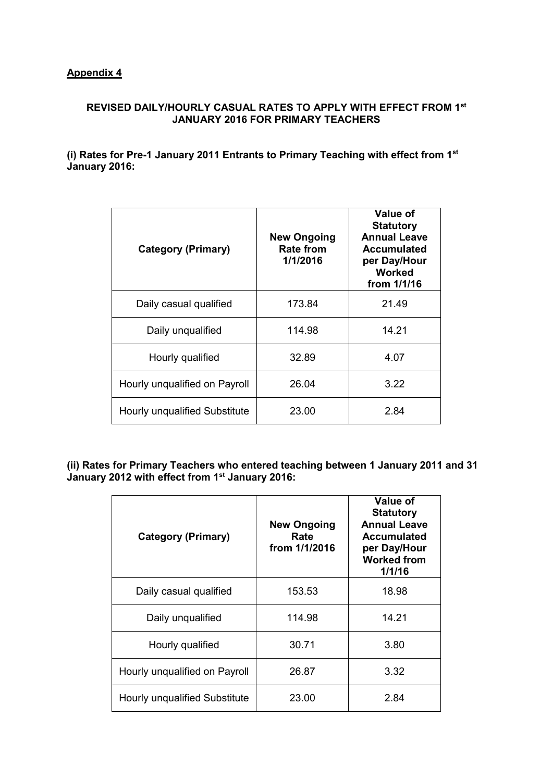## **REVISED DAILY/HOURLY CASUAL RATES TO APPLY WITH EFFECT FROM 1st JANUARY 2016 FOR PRIMARY TEACHERS**

**(i) Rates for Pre-1 January 2011 Entrants to Primary Teaching with effect from 1st January 2016:**

| <b>Category (Primary)</b>     | <b>New Ongoing</b><br><b>Rate from</b><br>1/1/2016 | Value of<br><b>Statutory</b><br><b>Annual Leave</b><br><b>Accumulated</b><br>per Day/Hour<br>Worked<br>from 1/1/16 |
|-------------------------------|----------------------------------------------------|--------------------------------------------------------------------------------------------------------------------|
| Daily casual qualified        | 173.84                                             | 21.49                                                                                                              |
| Daily unqualified             | 114.98                                             | 14.21                                                                                                              |
| Hourly qualified              | 32.89                                              | 4.07                                                                                                               |
| Hourly unqualified on Payroll | 26.04                                              | 3.22                                                                                                               |
| Hourly unqualified Substitute | 23.00                                              | 2.84                                                                                                               |

**(ii) Rates for Primary Teachers who entered teaching between 1 January 2011 and 31 January 2012 with effect from 1st January 2016:**

| <b>Category (Primary)</b>     | <b>New Ongoing</b><br>Rate<br>from 1/1/2016 | Value of<br><b>Statutory</b><br><b>Annual Leave</b><br><b>Accumulated</b><br>per Day/Hour<br><b>Worked from</b><br>1/1/16 |
|-------------------------------|---------------------------------------------|---------------------------------------------------------------------------------------------------------------------------|
| Daily casual qualified        | 153.53                                      | 18.98                                                                                                                     |
| Daily unqualified             | 114.98                                      | 14.21                                                                                                                     |
| Hourly qualified              | 30.71                                       | 3.80                                                                                                                      |
| Hourly unqualified on Payroll | 26.87                                       | 3.32                                                                                                                      |
| Hourly unqualified Substitute | 23.00                                       | 2.84                                                                                                                      |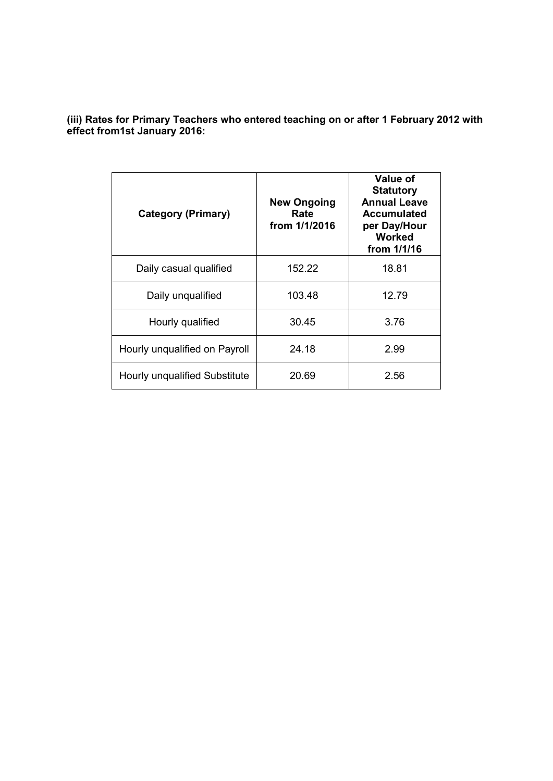**(iii) Rates for Primary Teachers who entered teaching on or after 1 February 2012 with effect from1st January 2016:**

| <b>Category (Primary)</b>     | <b>New Ongoing</b><br>Rate<br>from 1/1/2016 | Value of<br><b>Statutory</b><br><b>Annual Leave</b><br><b>Accumulated</b><br>per Day/Hour<br><b>Worked</b><br>from 1/1/16 |
|-------------------------------|---------------------------------------------|---------------------------------------------------------------------------------------------------------------------------|
| Daily casual qualified        | 152.22                                      | 18.81                                                                                                                     |
| Daily unqualified             | 103.48                                      | 12.79                                                                                                                     |
| Hourly qualified              | 30.45                                       | 3.76                                                                                                                      |
| Hourly unqualified on Payroll | 24.18                                       | 2.99                                                                                                                      |
| Hourly unqualified Substitute | 20.69                                       | 2.56                                                                                                                      |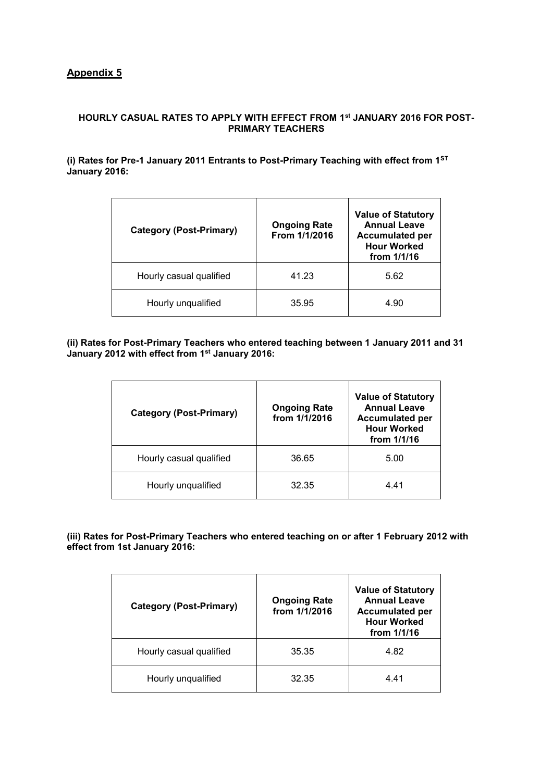#### **HOURLY CASUAL RATES TO APPLY WITH EFFECT FROM 1st JANUARY 2016 FOR POST-PRIMARY TEACHERS**

**(i) Rates for Pre-1 January 2011 Entrants to Post-Primary Teaching with effect from 1ST January 2016:**

| <b>Category (Post-Primary)</b> | <b>Ongoing Rate</b><br>From 1/1/2016 | <b>Value of Statutory</b><br><b>Annual Leave</b><br><b>Accumulated per</b><br><b>Hour Worked</b><br>from $1/1/16$ |
|--------------------------------|--------------------------------------|-------------------------------------------------------------------------------------------------------------------|
| Hourly casual qualified        | 41.23                                | 5.62                                                                                                              |
| Hourly unqualified             | 35.95                                | 4.90                                                                                                              |

**(ii) Rates for Post-Primary Teachers who entered teaching between 1 January 2011 and 31 January 2012 with effect from 1st January 2016:**

| <b>Category (Post-Primary)</b> | <b>Ongoing Rate</b><br>from 1/1/2016 | <b>Value of Statutory</b><br><b>Annual Leave</b><br><b>Accumulated per</b><br><b>Hour Worked</b><br>from 1/1/16 |
|--------------------------------|--------------------------------------|-----------------------------------------------------------------------------------------------------------------|
| Hourly casual qualified        | 36.65                                | 5.00                                                                                                            |
| Hourly unqualified             | 32.35                                | 4.41                                                                                                            |

**(iii) Rates for Post-Primary Teachers who entered teaching on or after 1 February 2012 with effect from 1st January 2016:**

| <b>Category (Post-Primary)</b> | <b>Ongoing Rate</b><br>from 1/1/2016 | <b>Value of Statutory</b><br><b>Annual Leave</b><br><b>Accumulated per</b><br><b>Hour Worked</b><br>from $1/1/16$ |
|--------------------------------|--------------------------------------|-------------------------------------------------------------------------------------------------------------------|
| Hourly casual qualified        | 35.35                                | 4.82                                                                                                              |
| Hourly unqualified             | 32.35                                | 4.41                                                                                                              |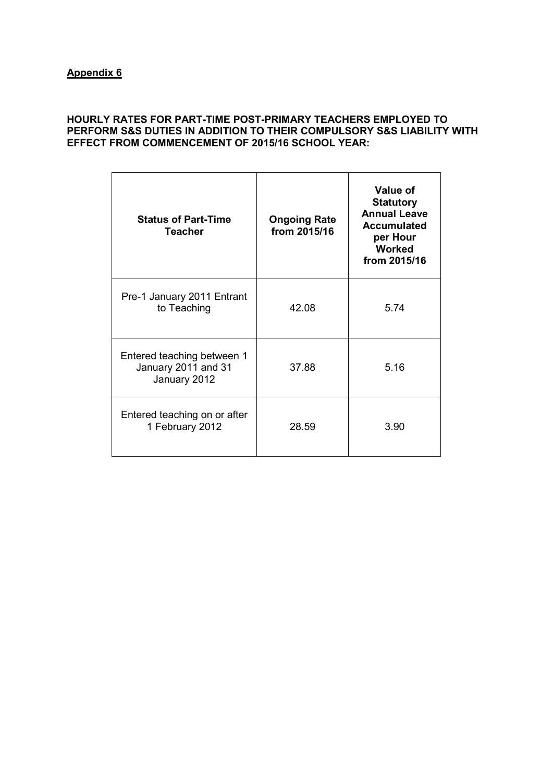## **HOURLY RATES FOR PART-TIME POST-PRIMARY TEACHERS EMPLOYED TO PERFORM S&S DUTIES IN ADDITION TO THEIR COMPULSORY S&S LIABILITY WITH EFFECT FROM COMMENCEMENT OF 2015/16 SCHOOL YEAR:**

| <b>Status of Part-Time</b><br><b>Teacher</b>                      | <b>Ongoing Rate</b><br>from 2015/16 | Value of<br><b>Statutory</b><br><b>Annual Leave</b><br><b>Accumulated</b><br>per Hour<br><b>Worked</b><br>from 2015/16 |
|-------------------------------------------------------------------|-------------------------------------|------------------------------------------------------------------------------------------------------------------------|
| Pre-1 January 2011 Entrant<br>to Teaching                         | 42.08                               | 5.74                                                                                                                   |
| Entered teaching between 1<br>January 2011 and 31<br>January 2012 | 37.88                               | 5.16                                                                                                                   |
| Entered teaching on or after<br>1 February 2012                   | 28.59                               | 3.90                                                                                                                   |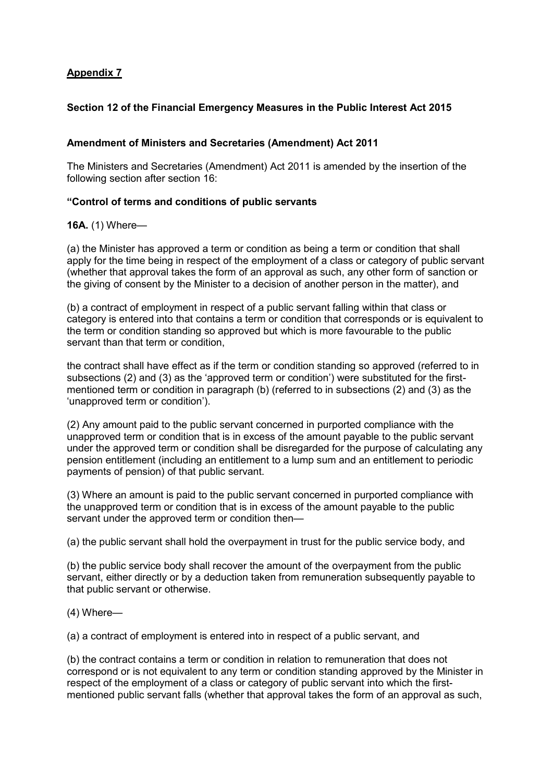## **Section 12 of the Financial Emergency Measures in the Public Interest Act 2015**

## **Amendment of Ministers and Secretaries (Amendment) Act 2011**

The Ministers and Secretaries (Amendment) Act 2011 is amended by the insertion of the following section after section 16:

### **"Control of terms and conditions of public servants**

### **16A.** (1) Where—

(a) the Minister has approved a term or condition as being a term or condition that shall apply for the time being in respect of the employment of a class or category of public servant (whether that approval takes the form of an approval as such, any other form of sanction or the giving of consent by the Minister to a decision of another person in the matter), and

(b) a contract of employment in respect of a public servant falling within that class or category is entered into that contains a term or condition that corresponds or is equivalent to the term or condition standing so approved but which is more favourable to the public servant than that term or condition,

the contract shall have effect as if the term or condition standing so approved (referred to in subsections (2) and (3) as the 'approved term or condition') were substituted for the firstmentioned term or condition in paragraph (b) (referred to in subsections (2) and (3) as the 'unapproved term or condition').

(2) Any amount paid to the public servant concerned in purported compliance with the unapproved term or condition that is in excess of the amount payable to the public servant under the approved term or condition shall be disregarded for the purpose of calculating any pension entitlement (including an entitlement to a lump sum and an entitlement to periodic payments of pension) of that public servant.

(3) Where an amount is paid to the public servant concerned in purported compliance with the unapproved term or condition that is in excess of the amount payable to the public servant under the approved term or condition then—

(a) the public servant shall hold the overpayment in trust for the public service body, and

(b) the public service body shall recover the amount of the overpayment from the public servant, either directly or by a deduction taken from remuneration subsequently payable to that public servant or otherwise.

(4) Where—

(a) a contract of employment is entered into in respect of a public servant, and

(b) the contract contains a term or condition in relation to remuneration that does not correspond or is not equivalent to any term or condition standing approved by the Minister in respect of the employment of a class or category of public servant into which the firstmentioned public servant falls (whether that approval takes the form of an approval as such,